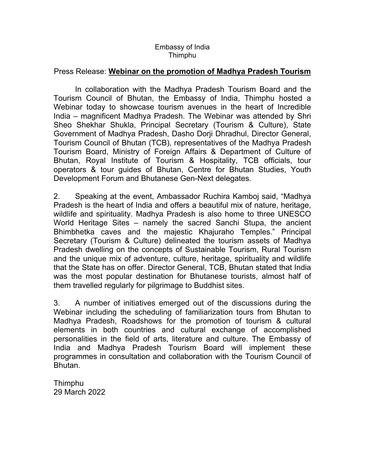## Embassy of India Thimphu

## Press Release: **Webinar on the promotion of Madhya Pradesh Tourism**

In collaboration with the Madhya Pradesh Tourism Board and the Tourism Council of Bhutan, the Embassy of India, Thimphu hosted a Webinar today to showcase tourism avenues in the heart of Incredible India – magnificent Madhya Pradesh. The Webinar was attended by Shri Sheo Shekhar Shukla, Principal Secretary (Tourism & Culture), State Government of Madhya Pradesh, Dasho Dorji Dhradhul, Director General, Tourism Council of Bhutan (TCB), representatives of the Madhya Pradesh Tourism Board, Ministry of Foreign Affairs & Department of Culture of Bhutan, Royal Institute of Tourism & Hospitality, TCB officials, tour operators & tour guides of Bhutan, Centre for Bhutan Studies, Youth Development Forum and Bhutanese Gen-Next delegates.

2. Speaking at the event, Ambassador Ruchira Kamboj said, "Madhya Pradesh is the heart of India and offers a beautiful mix of nature, heritage, wildlife and spirituality. Madhya Pradesh is also home to three UNESCO World Heritage Sites – namely the sacred Sanchi Stupa, the ancient Bhimbhetka caves and the majestic Khajuraho Temples." Principal Secretary (Tourism & Culture) delineated the tourism assets of Madhya Pradesh dwelling on the concepts of Sustainable Tourism, Rural Tourism and the unique mix of adventure, culture, heritage, spirituality and wildlife that the State has on offer. Director General, TCB, Bhutan stated that India was the most popular destination for Bhutanese tourists, almost half of them travelled regularly for pilgrimage to Buddhist sites.

3. A number of initiatives emerged out of the discussions during the Webinar including the scheduling of familiarization tours from Bhutan to Madhya Pradesh, Roadshows for the promotion of tourism & cultural elements in both countries and cultural exchange of accomplished personalities in the field of arts, literature and culture. The Embassy of India and Madhya Pradesh Tourism Board will implement these programmes in consultation and collaboration with the Tourism Council of Bhutan.

Thimphu 29 March 2022